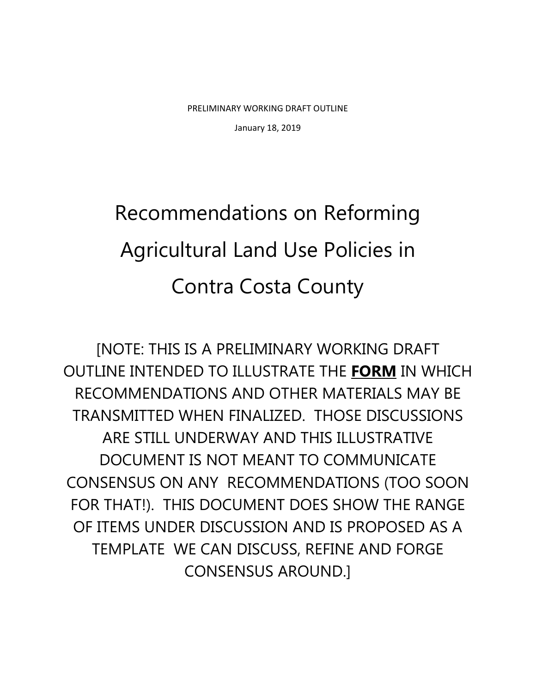PRELIMINARY WORKING DRAFT OUTLINE January 18, 2019

# Recommendations on Reforming Agricultural Land Use Policies in Contra Costa County

[NOTE: THIS IS A PRELIMINARY WORKING DRAFT OUTLINE INTENDED TO ILLUSTRATE THE **FORM** IN WHICH RECOMMENDATIONS AND OTHER MATERIALS MAY BE TRANSMITTED WHEN FINALIZED. THOSE DISCUSSIONS ARE STILL UNDERWAY AND THIS ILLUSTRATIVE DOCUMENT IS NOT MEANT TO COMMUNICATE CONSENSUS ON ANY RECOMMENDATIONS (TOO SOON FOR THAT!). THIS DOCUMENT DOES SHOW THE RANGE OF ITEMS UNDER DISCUSSION AND IS PROPOSED AS A TEMPLATE WE CAN DISCUSS, REFINE AND FORGE CONSENSUS AROUND.]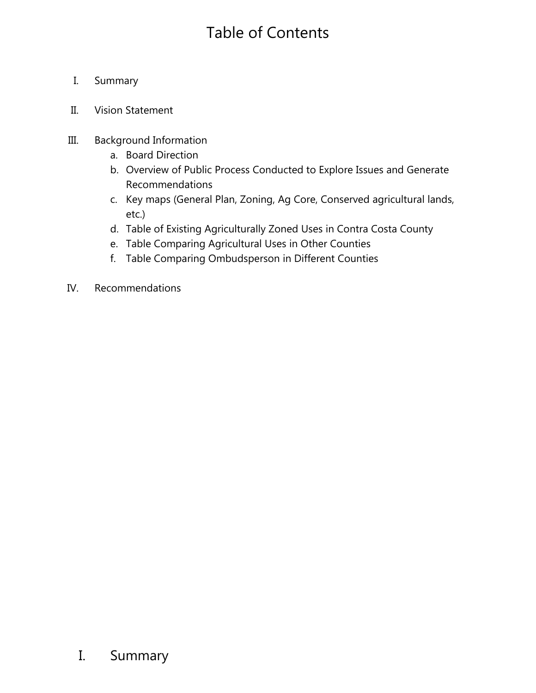## Table of Contents

- I. Summary
- II. Vision Statement
- III. Background Information
	- a. Board Direction
	- b. Overview of Public Process Conducted to Explore Issues and Generate Recommendations
	- c. Key maps (General Plan, Zoning, Ag Core, Conserved agricultural lands, etc.)
	- d. Table of Existing Agriculturally Zoned Uses in Contra Costa County
	- e. Table Comparing Agricultural Uses in Other Counties
	- f. Table Comparing Ombudsperson in Different Counties
- IV. Recommendations

## I. Summary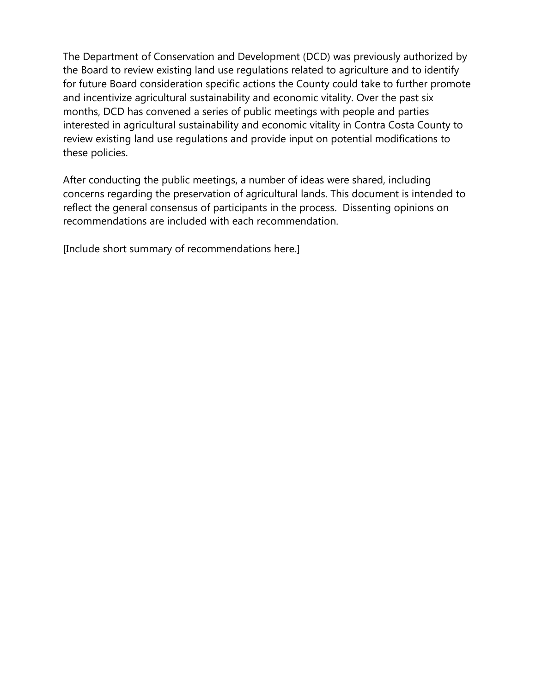The Department of Conservation and Development (DCD) was previously authorized by the Board to review existing land use regulations related to agriculture and to identify for future Board consideration specific actions the County could take to further promote and incentivize agricultural sustainability and economic vitality. Over the past six months, DCD has convened a series of public meetings with people and parties interested in agricultural sustainability and economic vitality in Contra Costa County to review existing land use regulations and provide input on potential modifications to these policies.

After conducting the public meetings, a number of ideas were shared, including concerns regarding the preservation of agricultural lands. This document is intended to reflect the general consensus of participants in the process. Dissenting opinions on recommendations are included with each recommendation.

[Include short summary of recommendations here.]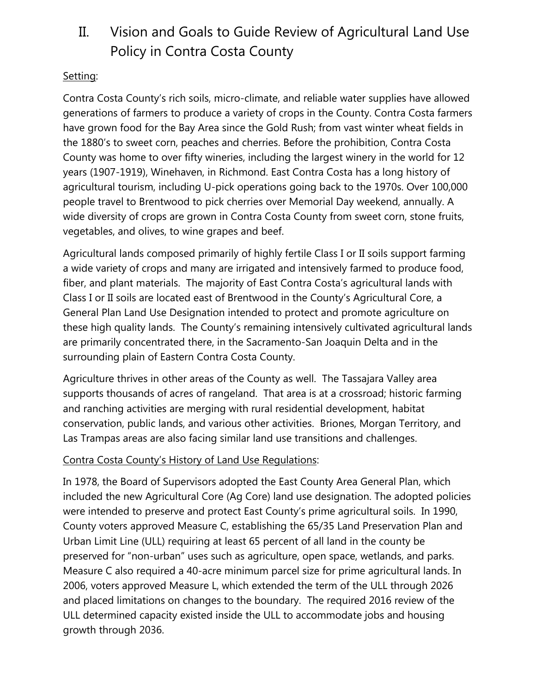## II. Vision and Goals to Guide Review of Agricultural Land Use Policy in Contra Costa County

## Setting:

Contra Costa County's rich soils, micro-climate, and reliable water supplies have allowed generations of farmers to produce a variety of crops in the County. Contra Costa farmers have grown food for the Bay Area since the Gold Rush; from vast winter wheat fields in the 1880's to sweet corn, peaches and cherries. Before the prohibition, Contra Costa County was home to over fifty wineries, including the largest winery in the world for 12 years (1907-1919), Winehaven, in Richmond. East Contra Costa has a long history of agricultural tourism, including U-pick operations going back to the 1970s. Over 100,000 people travel to Brentwood to pick cherries over Memorial Day weekend, annually. A wide diversity of crops are grown in Contra Costa County from sweet corn, stone fruits, vegetables, and olives, to wine grapes and beef.

Agricultural lands composed primarily of highly fertile Class I or II soils support farming a wide variety of crops and many are irrigated and intensively farmed to produce food, fiber, and plant materials. The majority of East Contra Costa's agricultural lands with Class I or II soils are located east of Brentwood in the County's Agricultural Core, a General Plan Land Use Designation intended to protect and promote agriculture on these high quality lands. The County's remaining intensively cultivated agricultural lands are primarily concentrated there, in the Sacramento-San Joaquin Delta and in the surrounding plain of Eastern Contra Costa County.

Agriculture thrives in other areas of the County as well. The Tassajara Valley area supports thousands of acres of rangeland. That area is at a crossroad; historic farming and ranching activities are merging with rural residential development, habitat conservation, public lands, and various other activities. Briones, Morgan Territory, and Las Trampas areas are also facing similar land use transitions and challenges.

## Contra Costa County's History of Land Use Regulations:

In 1978, the Board of Supervisors adopted the East County Area General Plan, which included the new Agricultural Core (Ag Core) land use designation. The adopted policies were intended to preserve and protect East County's prime agricultural soils. In 1990, County voters approved Measure C, establishing the 65/35 Land Preservation Plan and Urban Limit Line (ULL) requiring at least 65 percent of all land in the county be preserved for "non-urban" uses such as agriculture, open space, wetlands, and parks. Measure C also required a 40-acre minimum parcel size for prime agricultural lands. In 2006, voters approved Measure L, which extended the term of the ULL through 2026 and placed limitations on changes to the boundary. The required 2016 review of the ULL determined capacity existed inside the ULL to accommodate jobs and housing growth through 2036.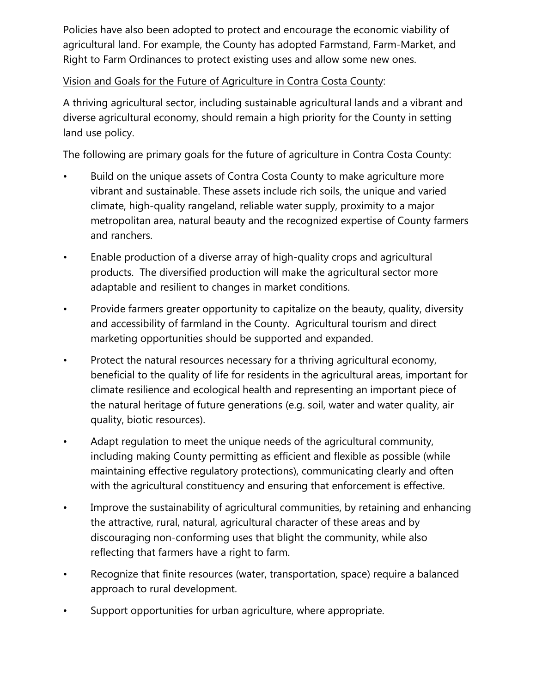Policies have also been adopted to protect and encourage the economic viability of agricultural land. For example, the County has adopted Farmstand, Farm-Market, and Right to Farm Ordinances to protect existing uses and allow some new ones.

## Vision and Goals for the Future of Agriculture in Contra Costa County:

A thriving agricultural sector, including sustainable agricultural lands and a vibrant and diverse agricultural economy, should remain a high priority for the County in setting land use policy.

The following are primary goals for the future of agriculture in Contra Costa County:

- Build on the unique assets of Contra Costa County to make agriculture more vibrant and sustainable. These assets include rich soils, the unique and varied climate, high-quality rangeland, reliable water supply, proximity to a major metropolitan area, natural beauty and the recognized expertise of County farmers and ranchers.
- Enable production of a diverse array of high-quality crops and agricultural products. The diversified production will make the agricultural sector more adaptable and resilient to changes in market conditions.
- Provide farmers greater opportunity to capitalize on the beauty, quality, diversity and accessibility of farmland in the County. Agricultural tourism and direct marketing opportunities should be supported and expanded.
- Protect the natural resources necessary for a thriving agricultural economy, beneficial to the quality of life for residents in the agricultural areas, important for climate resilience and ecological health and representing an important piece of the natural heritage of future generations (e.g. soil, water and water quality, air quality, biotic resources).
- Adapt regulation to meet the unique needs of the agricultural community, including making County permitting as efficient and flexible as possible (while maintaining effective regulatory protections), communicating clearly and often with the agricultural constituency and ensuring that enforcement is effective.
- Improve the sustainability of agricultural communities, by retaining and enhancing the attractive, rural, natural, agricultural character of these areas and by discouraging non-conforming uses that blight the community, while also reflecting that farmers have a right to farm.
- Recognize that finite resources (water, transportation, space) require a balanced approach to rural development.
- Support opportunities for urban agriculture, where appropriate.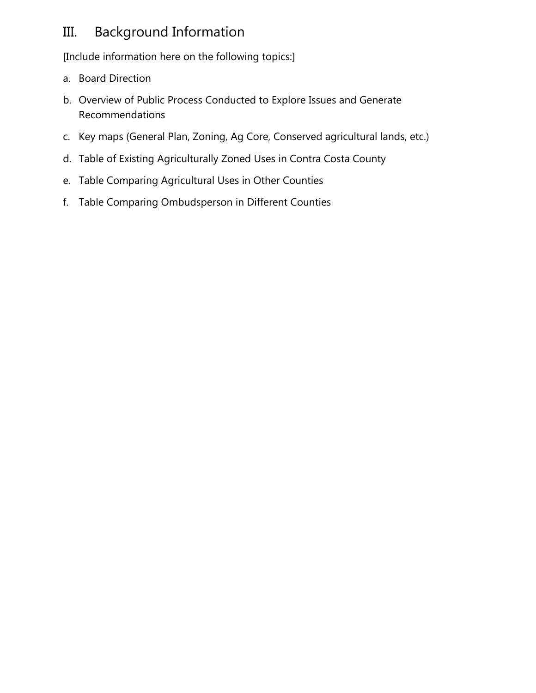## III. Background Information

[Include information here on the following topics:]

- a. Board Direction
- b. Overview of Public Process Conducted to Explore Issues and Generate Recommendations
- c. Key maps (General Plan, Zoning, Ag Core, Conserved agricultural lands, etc.)
- d. Table of Existing Agriculturally Zoned Uses in Contra Costa County
- e. Table Comparing Agricultural Uses in Other Counties
- f. Table Comparing Ombudsperson in Different Counties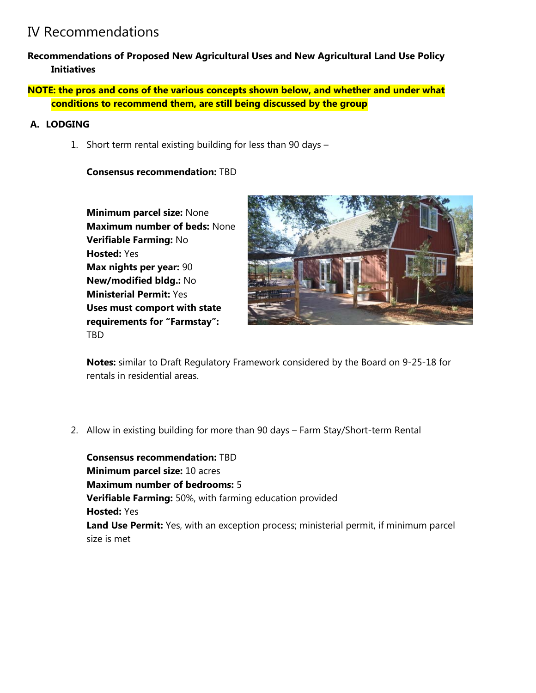## IV Recommendations

- **Recommendations of Proposed New Agricultural Uses and New Agricultural Land Use Policy Initiatives**
- **NOTE: the pros and cons of the various concepts shown below, and whether and under what conditions to recommend them, are still being discussed by the group**

## **A. LODGING**

1. Short term rental existing building for less than 90 days –

#### **Consensus recommendation:** TBD

**Minimum parcel size:** None **Maximum number of beds:** None **Verifiable Farming:** No **Hosted:** Yes **Max nights per year:** 90 **New/modified bldg.:** No **Ministerial Permit:** Yes **Uses must comport with state requirements for "Farmstay":** TBD



**Notes:** similar to Draft Regulatory Framework considered by the Board on 9-25-18 for rentals in residential areas.

2. Allow in existing building for more than 90 days – Farm Stay/Short-term Rental

**Consensus recommendation:** TBD **Minimum parcel size:** 10 acres **Maximum number of bedrooms:** 5 **Verifiable Farming:** 50%, with farming education provided **Hosted:** Yes **Land Use Permit:** Yes, with an exception process; ministerial permit, if minimum parcel size is met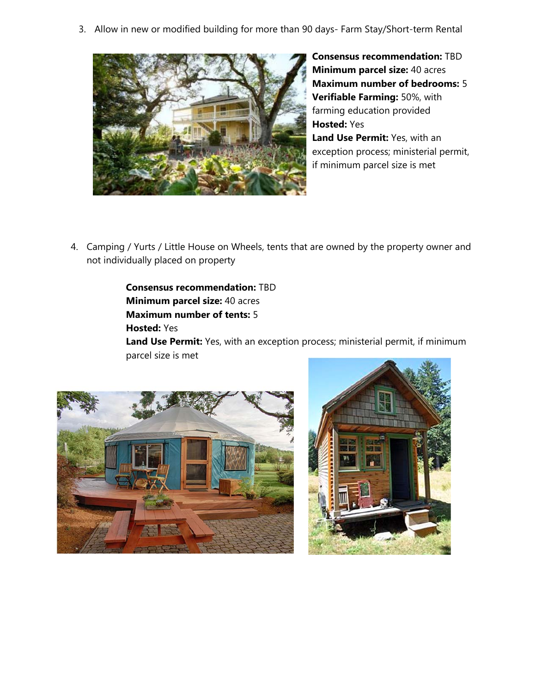3. Allow in new or modified building for more than 90 days- Farm Stay/Short-term Rental



**Consensus recommendation:** TBD **Minimum parcel size:** 40 acres **Maximum number of bedrooms:** 5 **Verifiable Farming:** 50%, with farming education provided **Hosted:** Yes **Land Use Permit:** Yes, with an exception process; ministerial permit, if minimum parcel size is met

4. Camping / Yurts / Little House on Wheels, tents that are owned by the property owner and not individually placed on property

> **Consensus recommendation:** TBD **Minimum parcel size:** 40 acres **Maximum number of tents:** 5 **Hosted:** Yes

Land Use Permit: Yes, with an exception process; ministerial permit, if minimum parcel size is met



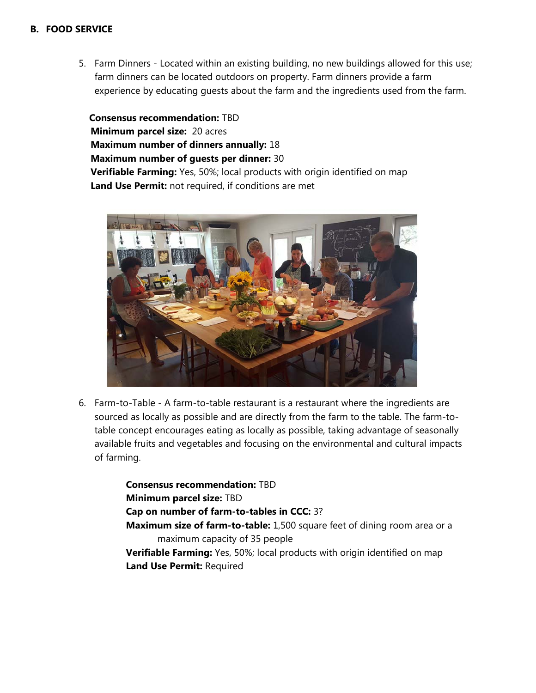#### **B. FOOD SERVICE**

5. Farm Dinners - Located within an existing building, no new buildings allowed for this use; farm dinners can be located outdoors on property. Farm dinners provide a farm experience by educating guests about the farm and the ingredients used from the farm.

 **Consensus recommendation:** TBD **Minimum parcel size:** 20 acres **Maximum number of dinners annually:** 18 **Maximum number of guests per dinner:** 30 **Verifiable Farming:** Yes, 50%; local products with origin identified on map **Land Use Permit:** not required, if conditions are met



6. Farm-to-Table - A farm-to-table restaurant is a restaurant where the ingredients are sourced as locally as possible and are directly from the farm to the table. The farm-totable concept encourages eating as locally as possible, taking advantage of seasonally available fruits and vegetables and focusing on the environmental and cultural impacts of farming.

> **Consensus recommendation:** TBD **Minimum parcel size:** TBD **Cap on number of farm-to-tables in CCC:** 3? **Maximum size of farm-to-table:** 1,500 square feet of dining room area or a maximum capacity of 35 people **Verifiable Farming:** Yes, 50%; local products with origin identified on map **Land Use Permit:** Required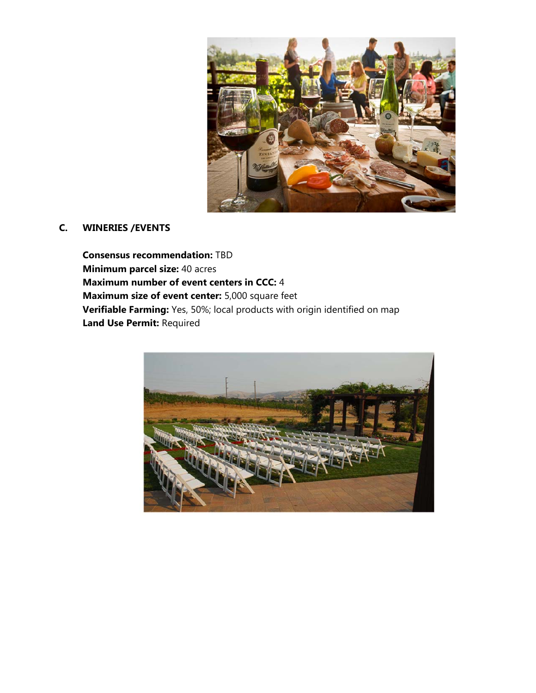

#### **C. WINERIES /EVENTS**

**Consensus recommendation:** TBD **Minimum parcel size:** 40 acres **Maximum number of event centers in CCC:** 4 **Maximum size of event center:** 5,000 square feet **Verifiable Farming:** Yes, 50%; local products with origin identified on map **Land Use Permit:** Required

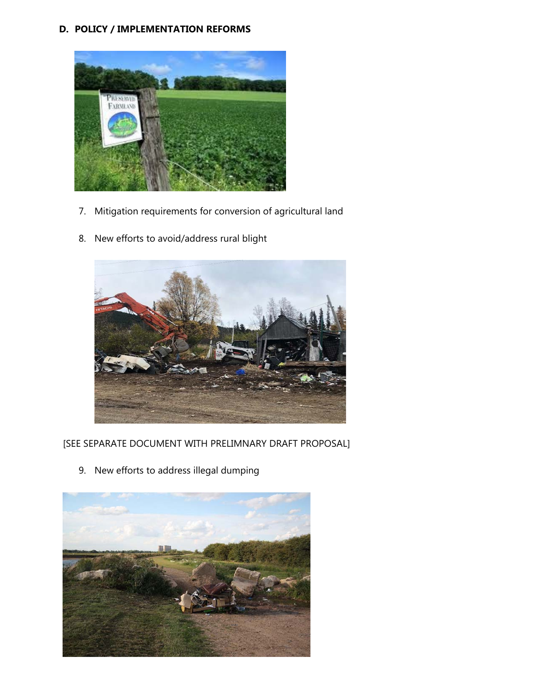#### **D. POLICY / IMPLEMENTATION REFORMS**



- 7. Mitigation requirements for conversion of agricultural land
- 8. New efforts to avoid/address rural blight



[SEE SEPARATE DOCUMENT WITH PRELIMNARY DRAFT PROPOSAL]

9. New efforts to address illegal dumping

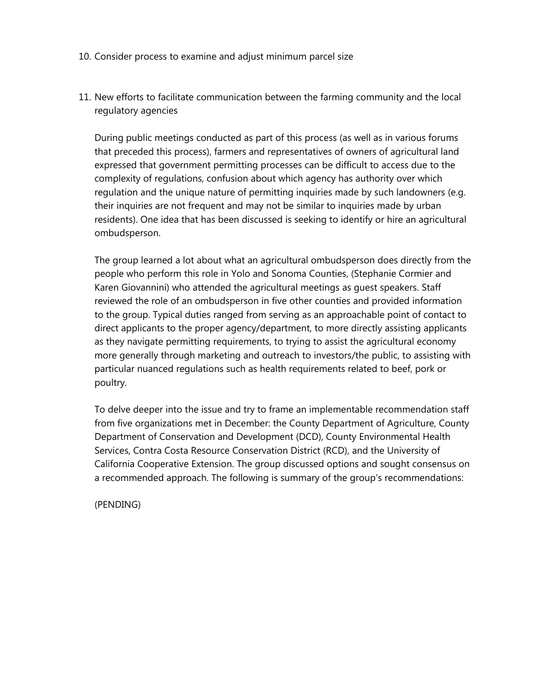- 10. Consider process to examine and adjust minimum parcel size
- 11. New efforts to facilitate communication between the farming community and the local regulatory agencies

During public meetings conducted as part of this process (as well as in various forums that preceded this process), farmers and representatives of owners of agricultural land expressed that government permitting processes can be difficult to access due to the complexity of regulations, confusion about which agency has authority over which regulation and the unique nature of permitting inquiries made by such landowners (e.g. their inquiries are not frequent and may not be similar to inquiries made by urban residents). One idea that has been discussed is seeking to identify or hire an agricultural ombudsperson.

The group learned a lot about what an agricultural ombudsperson does directly from the people who perform this role in Yolo and Sonoma Counties, (Stephanie Cormier and Karen Giovannini) who attended the agricultural meetings as guest speakers. Staff reviewed the role of an ombudsperson in five other counties and provided information to the group. Typical duties ranged from serving as an approachable point of contact to direct applicants to the proper agency/department, to more directly assisting applicants as they navigate permitting requirements, to trying to assist the agricultural economy more generally through marketing and outreach to investors/the public, to assisting with particular nuanced regulations such as health requirements related to beef, pork or poultry.

To delve deeper into the issue and try to frame an implementable recommendation staff from five organizations met in December: the County Department of Agriculture, County Department of Conservation and Development (DCD), County Environmental Health Services, Contra Costa Resource Conservation District (RCD), and the University of California Cooperative Extension. The group discussed options and sought consensus on a recommended approach. The following is summary of the group's recommendations:

(PENDING)